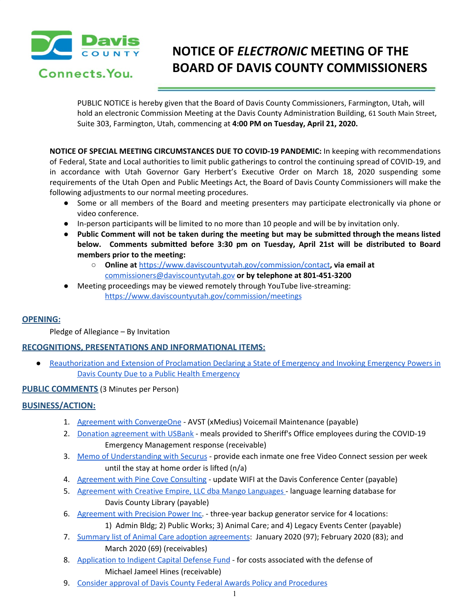

# **NOTICE OF** *ELECTRONIC* **MEETING OF THE BOARD OF DAVIS COUNTY COMMISSIONERS**

PUBLIC NOTICE is hereby given that the Board of Davis County Commissioners, Farmington, Utah, will hold an electronic Commission Meeting at the Davis County Administration Building, 61 South Main Street, Suite 303, Farmington, Utah, commencing at **4:00 PM on Tuesday, April 21, 2020.**

**NOTICE OF SPECIAL MEETING CIRCUMSTANCES DUE TO COVID-19 PANDEMIC:** In keeping with recommendations of Federal, State and Local authorities to limit public gatherings to control the continuing spread of COVID-19, and in accordance with Utah Governor Gary Herbert's Executive Order on March 18, 2020 suspending some requirements of the Utah Open and Public Meetings Act, the Board of Davis County Commissioners will make the following adjustments to our normal meeting procedures.

- Some or all members of the Board and meeting presenters may participate electronically via phone or video conference.
- In-person participants will be limited to no more than 10 people and will be by invitation only.
- Public Comment will not be taken during the meeting but may be submitted through the means listed **below. Comments submitted before 3:30 pm on Tuesday, April 21st will be distributed to Board members prior to the meeting:**
	- **○ Online at** <https://www.daviscountyutah.gov/commission/contact>**, via email at** [commissioners@daviscountyutah.gov](mailto:commissioners@daviscountyutah.gov) **or by telephone at 801-451-3200**
- Meeting proceedings may be viewed remotely through YouTube live-streaming: <https://www.daviscountyutah.gov/commission/meetings>

# **OPENING:**

Pledge of Allegiance – By Invitation

# **RECOGNITIONS, PRESENTATIONS AND INFORMATIONAL ITEMS:**

● [Reauthorization](https://drive.google.com/a/co.davis.ut.us/file/d/1C0w2j2SV8a1wmVTMumuToKzr3I67mn1k/view?usp=drivesdk) and Extension of Proclamation Declaring a State of Emergency and Invoking Emergency Powers in Davis County Due to a Public Health [Emergency](https://drive.google.com/a/co.davis.ut.us/file/d/1C0w2j2SV8a1wmVTMumuToKzr3I67mn1k/view?usp=drivesdk)

## **PUBLIC COMMENTS** (3 Minutes per Person)

## **BUSINESS/ACTION:**

- 1. Agreement with [ConvergeOne](https://drive.google.com/a/co.davis.ut.us/file/d/1NKf2cOgGutuLyTH238WeH4q8yaz_35KA/view?usp=drivesdk) AVST (xMedius) Voicemail Maintenance (payable)
- 2. Donation [agreement](https://drive.google.com/a/co.davis.ut.us/file/d/1bL34gl8lJBwViEI4Y7B04PWOE1-r7d5K/view?usp=drivesdk) with USBank meals provided to Sheriff's Office employees during the COVID-19 Emergency Management response (receivable)
- 3. Memo of [Understanding](https://drive.google.com/a/co.davis.ut.us/file/d/1OhkhF_7Yh-WTINF7181a__jRHHZncVaz/view?usp=drivesdk) with Securus provide each inmate one free Video Connect session per week until the stay at home order is lifted (n/a)
- 4. [Agreement](https://drive.google.com/a/co.davis.ut.us/file/d/15QKBRjzd96hgqDhUwEsC8Z9bVkx1rmP5/view?usp=drivesdk) with Pine Cove Consulting update WIFI at the Davis Conference Center (payable)
- 5. [Agreement](https://drive.google.com/a/co.davis.ut.us/file/d/1ophziqSoEDGqE6qRB99QDwsI8RzwbQnD/view?usp=drivesdk) with Creative Empire, LLC dba Mango Languages language learning database for Davis County Library (payable)
- 6. [Agreement](https://drive.google.com/a/co.davis.ut.us/file/d/1pE9BwC5duaM2oebjHRytysPnOwwzMbNb/view?usp=drivesdk) with Precision Power Inc. three-year backup generator service for 4 locations: 1) Admin Bldg; 2) Public Works; 3) Animal Care; and 4) Legacy Events Center (payable)
- 7. Summary list of Animal Care adoption [agreements:](https://drive.google.com/a/co.davis.ut.us/file/d/1YJZEbicKZ45wkhWFCjSGA0875NyBWACY/view?usp=drivesdk) January 2020 (97); February 2020 (83); and March 2020 (69) (receivables)
- 8. [Application](https://drive.google.com/a/co.davis.ut.us/file/d/1l4rjRl0IeHaZyMZrTuClNE3swdBTew-L/view?usp=drivesdk) to Indigent Capital Defense Fund for costs associated with the defense of Michael Jameel Hines (receivable)
- 9. Consider approval of Davis County Federal Awards Policy and [Procedures](https://drive.google.com/a/co.davis.ut.us/file/d/1lrnwDDvuKYHQoO13nTspDSy2nkW2onAA/view?usp=drivesdk)